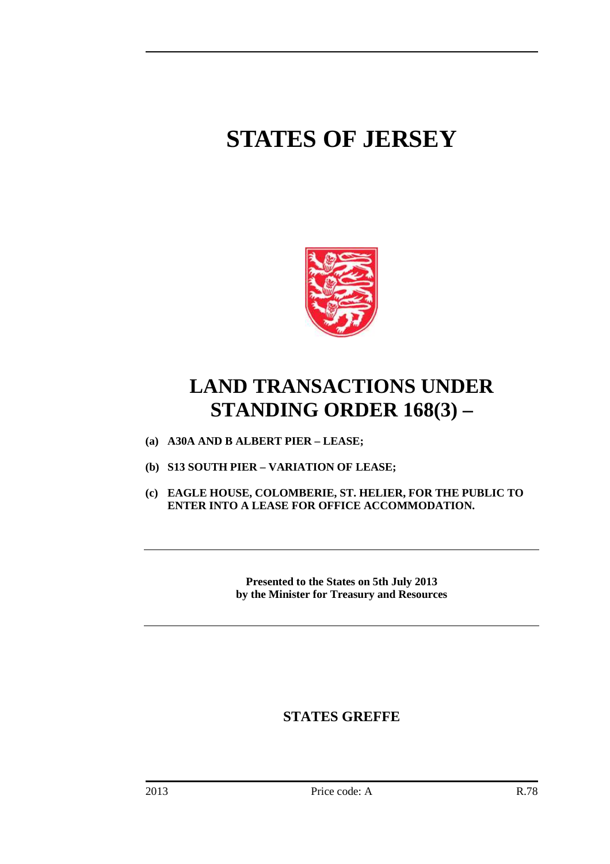# **STATES OF JERSEY**



## **LAND TRANSACTIONS UNDER STANDING ORDER 168(3) –**

- **(a) A30A AND B ALBERT PIER LEASE;**
- **(b) S13 SOUTH PIER VARIATION OF LEASE;**
- **(c) EAGLE HOUSE, COLOMBERIE, ST. HELIER, FOR THE PUBLIC TO ENTER INTO A LEASE FOR OFFICE ACCOMMODATION.**

**Presented to the States on 5th July 2013 by the Minister for Treasury and Resources** 

### **STATES GREFFE**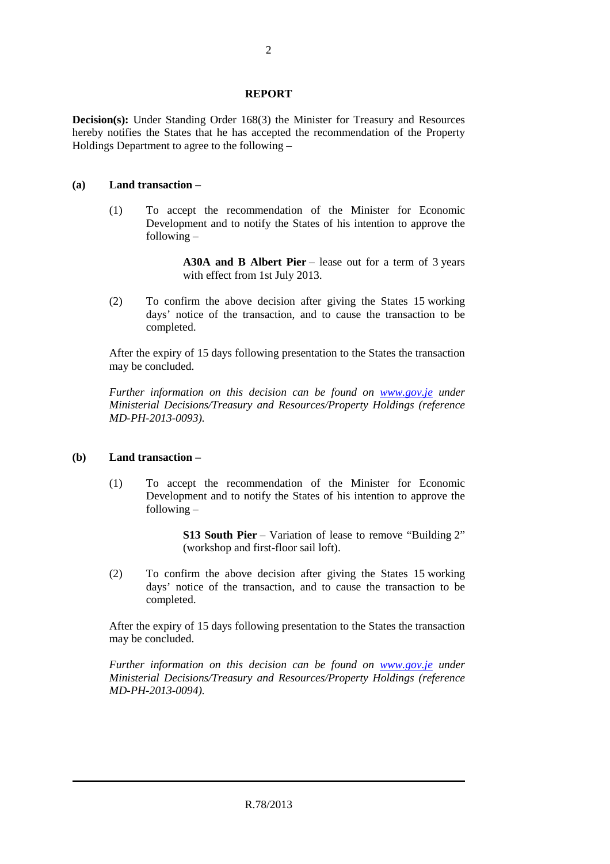#### **REPORT**

**Decision(s):** Under Standing Order 168(3) the Minister for Treasury and Resources hereby notifies the States that he has accepted the recommendation of the Property Holdings Department to agree to the following –

#### **(a) Land transaction –**

 (1) To accept the recommendation of the Minister for Economic Development and to notify the States of his intention to approve the following –

> A30A and B Albert Pier – lease out for a term of 3 years with effect from 1st July 2013.

 (2) To confirm the above decision after giving the States 15 working days' notice of the transaction, and to cause the transaction to be completed.

 After the expiry of 15 days following presentation to the States the transaction may be concluded.

 *Further information on this decision can be found on www.gov.je under Ministerial Decisions/Treasury and Resources/Property Holdings (reference MD-PH-2013-0093).* 

#### **(b) Land transaction –**

 (1) To accept the recommendation of the Minister for Economic Development and to notify the States of his intention to approve the following –

> **S13 South Pier** – Variation of lease to remove "Building 2" (workshop and first-floor sail loft).

 (2) To confirm the above decision after giving the States 15 working days' notice of the transaction, and to cause the transaction to be completed.

 After the expiry of 15 days following presentation to the States the transaction may be concluded.

 *Further information on this decision can be found on www.gov.je under Ministerial Decisions/Treasury and Resources/Property Holdings (reference MD-PH-2013-0094).*